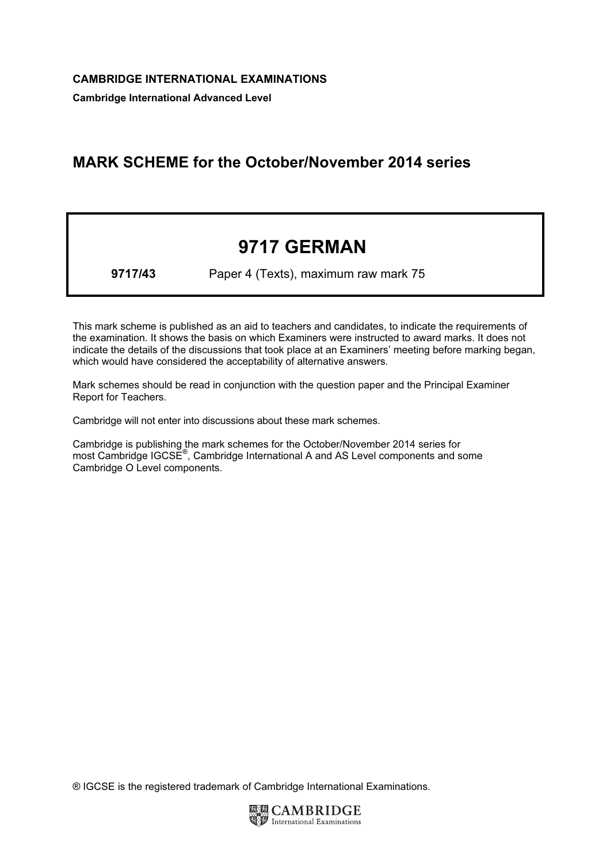Cambridge International Advanced Level

## MARK SCHEME for the October/November 2014 series

# 9717 GERMAN

9717/43 Paper 4 (Texts), maximum raw mark 75

This mark scheme is published as an aid to teachers and candidates, to indicate the requirements of the examination. It shows the basis on which Examiners were instructed to award marks. It does not indicate the details of the discussions that took place at an Examiners' meeting before marking began, which would have considered the acceptability of alternative answers.

Mark schemes should be read in conjunction with the question paper and the Principal Examiner Report for Teachers.

Cambridge will not enter into discussions about these mark schemes.

Cambridge is publishing the mark schemes for the October/November 2014 series for most Cambridge IGCSE<sup>®</sup>, Cambridge International A and AS Level components and some Cambridge O Level components.

® IGCSE is the registered trademark of Cambridge International Examinations.

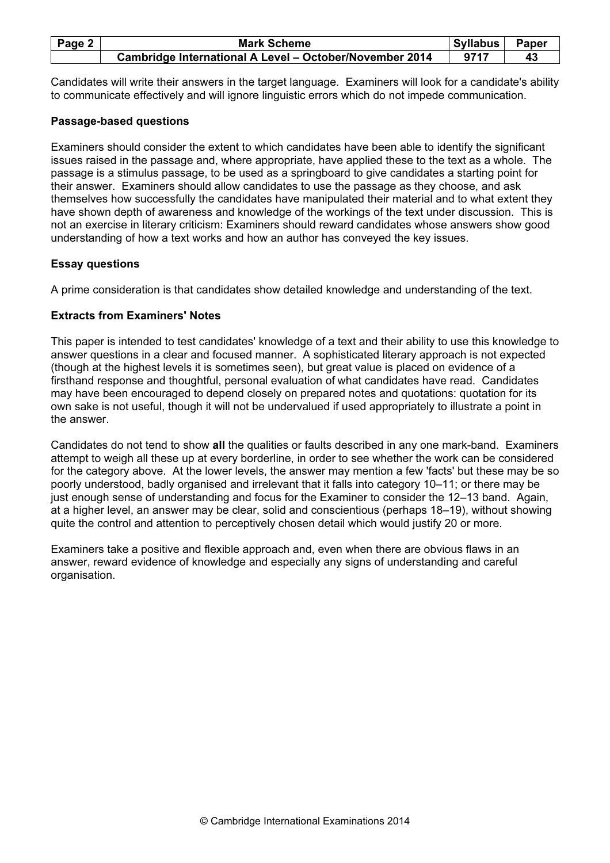| Page 2 $ $ | <b>Mark Scheme</b>                                      | <b>Syllabus</b> | <b>Paper</b> |
|------------|---------------------------------------------------------|-----------------|--------------|
|            | Cambridge International A Level - October/November 2014 | 9717            |              |

Candidates will write their answers in the target language. Examiners will look for a candidate's ability to communicate effectively and will ignore linguistic errors which do not impede communication.

#### Passage-based questions

Examiners should consider the extent to which candidates have been able to identify the significant issues raised in the passage and, where appropriate, have applied these to the text as a whole. The passage is a stimulus passage, to be used as a springboard to give candidates a starting point for their answer. Examiners should allow candidates to use the passage as they choose, and ask themselves how successfully the candidates have manipulated their material and to what extent they have shown depth of awareness and knowledge of the workings of the text under discussion. This is not an exercise in literary criticism: Examiners should reward candidates whose answers show good understanding of how a text works and how an author has conveyed the key issues.

#### Essay questions

A prime consideration is that candidates show detailed knowledge and understanding of the text.

### Extracts from Examiners' Notes

This paper is intended to test candidates' knowledge of a text and their ability to use this knowledge to answer questions in a clear and focused manner. A sophisticated literary approach is not expected (though at the highest levels it is sometimes seen), but great value is placed on evidence of a firsthand response and thoughtful, personal evaluation of what candidates have read. Candidates may have been encouraged to depend closely on prepared notes and quotations: quotation for its own sake is not useful, though it will not be undervalued if used appropriately to illustrate a point in the answer.

Candidates do not tend to show all the qualities or faults described in any one mark-band. Examiners attempt to weigh all these up at every borderline, in order to see whether the work can be considered for the category above. At the lower levels, the answer may mention a few 'facts' but these may be so poorly understood, badly organised and irrelevant that it falls into category 10–11; or there may be just enough sense of understanding and focus for the Examiner to consider the 12–13 band. Again, at a higher level, an answer may be clear, solid and conscientious (perhaps 18–19), without showing quite the control and attention to perceptively chosen detail which would justify 20 or more.

Examiners take a positive and flexible approach and, even when there are obvious flaws in an answer, reward evidence of knowledge and especially any signs of understanding and careful organisation.